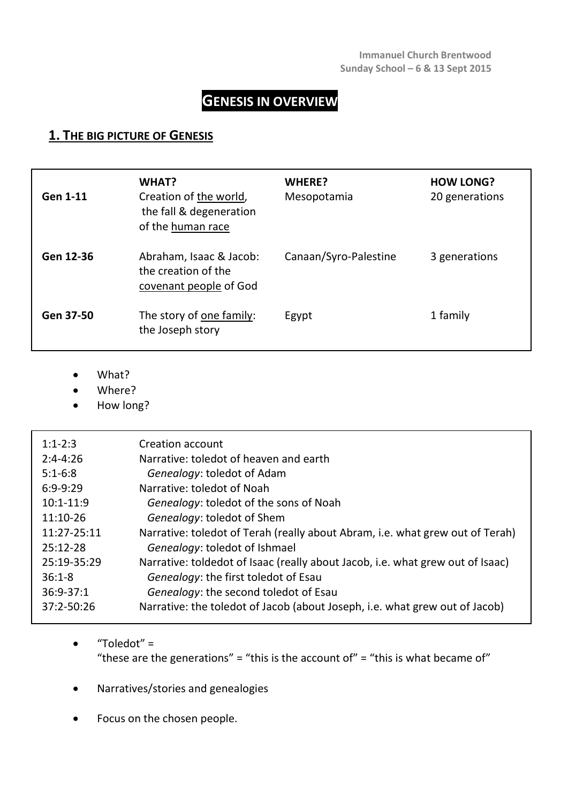# **GENESIS IN OVERVIEW**

## **1. THE BIG PICTURE OF GENESIS**

| Gen 1-11  | WHAT?<br>Creation of the world,<br>the fall & degeneration<br>of the human race | WHERE?<br>Mesopotamia | <b>HOW LONG?</b><br>20 generations |
|-----------|---------------------------------------------------------------------------------|-----------------------|------------------------------------|
| Gen 12-36 | Abraham, Isaac & Jacob:<br>the creation of the<br>covenant people of God        | Canaan/Syro-Palestine | 3 generations                      |
| Gen 37-50 | The story of one family:<br>the Joseph story                                    | Egypt                 | 1 family                           |

- What?
- Where?
- How long?

| $1:1-2:3$     | Creation account                                                               |
|---------------|--------------------------------------------------------------------------------|
| $2:4 - 4:26$  | Narrative: toledot of heaven and earth                                         |
| $5:1-6:8$     | Genealogy: toledot of Adam                                                     |
| $6:9-9:29$    | Narrative: toledot of Noah                                                     |
| $10:1 - 11:9$ | Genealogy: toledot of the sons of Noah                                         |
| $11:10-26$    | Genealogy: toledot of Shem                                                     |
| 11:27-25:11   | Narrative: toledot of Terah (really about Abram, i.e. what grew out of Terah)  |
| 25:12-28      | Genealogy: toledot of Ishmael                                                  |
| 25:19-35:29   | Narrative: toldedot of Isaac (really about Jacob, i.e. what grew out of Isaac) |
| $36:1 - 8$    | Genealogy: the first toledot of Esau                                           |
| $36:9 - 37:1$ | Genealogy: the second toledot of Esau                                          |
| 37:2-50:26    | Narrative: the toledot of Jacob (about Joseph, i.e. what grew out of Jacob)    |
|               |                                                                                |

 "Toledot" = "these are the generations" = "this is the account of" = "this is what became of"

- Narratives/stories and genealogies
- Focus on the chosen people.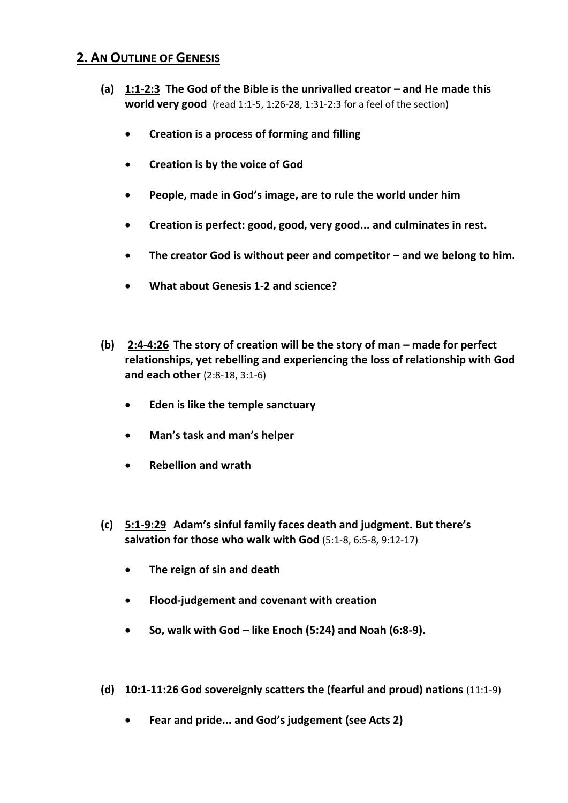## **2. AN OUTLINE OF GENESIS**

- **(a) 1:1-2:3 The God of the Bible is the unrivalled creator – and He made this world very good** (read 1:1-5, 1:26-28, 1:31-2:3 for a feel of the section)
	- **Creation is a process of forming and filling**
	- **Creation is by the voice of God**
	- **People, made in God's image, are to rule the world under him**
	- **Creation is perfect: good, good, very good... and culminates in rest.**
	- **•** The creator God is without peer and competitor and we belong to him.
	- **What about Genesis 1-2 and science?**
- **(b) 2:4-4:26 The story of creation will be the story of man – made for perfect relationships, yet rebelling and experiencing the loss of relationship with God and each other** (2:8-18, 3:1-6)
	- **Eden is like the temple sanctuary**
	- **Man's task and man's helper**
	- **Rebellion and wrath**
- **(c) 5:1-9:29 Adam's sinful family faces death and judgment. But there's salvation for those who walk with God** (5:1-8, 6:5-8, 9:12-17)
	- **The reign of sin and death**
	- **Flood-judgement and covenant with creation**
	- **So, walk with God – like Enoch (5:24) and Noah (6:8-9).**
- **(d) 10:1-11:26 God sovereignly scatters the (fearful and proud) nations** (11:1-9)
	- **Fear and pride... and God's judgement (see Acts 2)**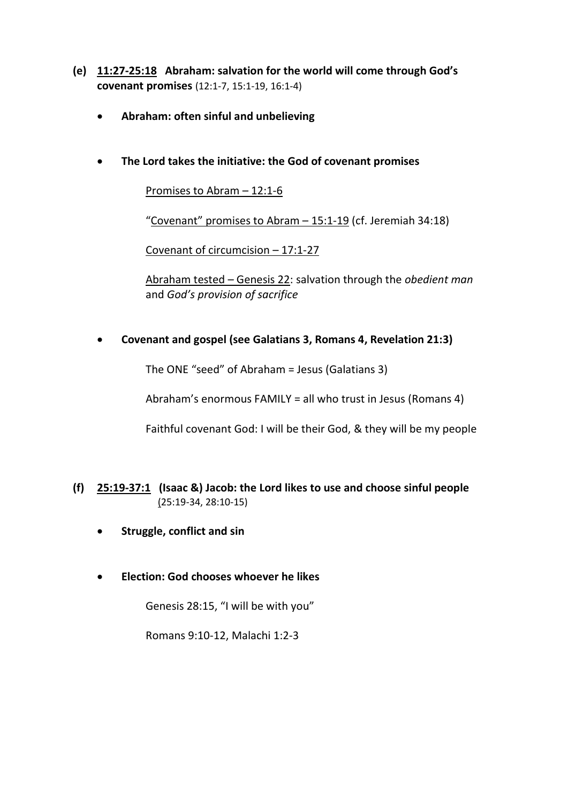- **(e) 11:27-25:18 Abraham: salvation for the world will come through God's covenant promises** (12:1-7, 15:1-19, 16:1-4)
	- **Abraham: often sinful and unbelieving**
	- **The Lord takes the initiative: the God of covenant promises**

Promises to Abram – 12:1-6

"Covenant" promises to Abram – 15:1-19 (cf. Jeremiah 34:18)

Covenant of circumcision – 17:1-27

Abraham tested – Genesis 22: salvation through the *obedient man* and *God's provision of sacrifice*

**Covenant and gospel (see Galatians 3, Romans 4, Revelation 21:3)**

The ONE "seed" of Abraham = Jesus (Galatians 3)

Abraham's enormous FAMILY = all who trust in Jesus (Romans 4)

Faithful covenant God: I will be their God, & they will be my people

- **(f) 25:19-37:1 (Isaac &) Jacob: the Lord likes to use and choose sinful people** (25:19-34, 28:10-15)
	- **•** Struggle, conflict and sin
	- **Election: God chooses whoever he likes**

Genesis 28:15, "I will be with you"

Romans 9:10-12, Malachi 1:2-3